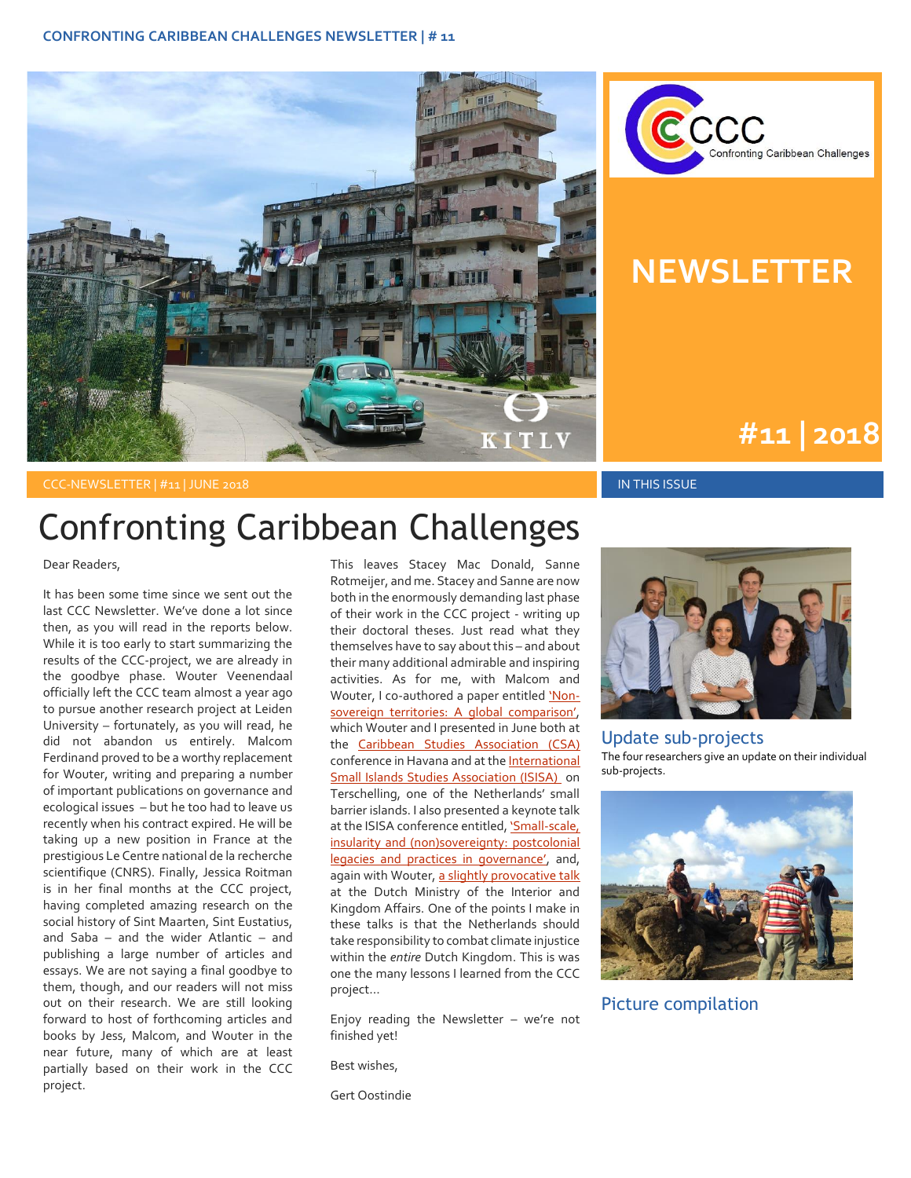



#### **NEWSLETTER**

**#1 | 2015 #11 | 2018**

CCC-NEWSLETTER | #11 | JUNE 2018 IN THIS ISSUE IN THIS ISSUE IN THIS ISSUE IN THIS ISSUE

## Confronting Caribbean Challenges

Dear Readers,

It has been some time since we sent out the last CCC Newsletter. We've done a lot since then, as you will read in the reports below. While it is too early to start summarizing the results of the CCC-project, we are already in the goodbye phase. Wouter Veenendaal officially left the CCC team almost a year ago to pursue another research project at Leiden University – fortunately, as you will read, he did not abandon us entirely. Malcom Ferdinand proved to be a worthy replacement for Wouter, writing and preparing a number of important publications on governance and ecological issues – but he too had to leave us recently when his contract expired. He will be taking up a new position in France at the prestigious Le Centre national de la recherche scientifique (CNRS). Finally, Jessica Roitman is in her final months at the CCC project, having completed amazing research on the social history of Sint Maarten, Sint Eustatius, and Saba – and the wider Atlantic – and publishing a large number of articles and essays. We are not saying a final goodbye to them, though, and our readers will not miss out on their research. We are still looking forward to host of forthcoming articles and books by Jess, Malcom, and Wouter in the near future, many of which are at least partially based on their work in the CCC project.

This leaves Stacey Mac Donald, Sanne Rotmeijer, and me. Stacey and Sanne are now both in the enormously demanding last phase of their work in the CCC project - writing up their doctoral theses. Just read what they themselves have to say about this – and about their many additional admirable and inspiring activities. As for me, with Malcom and Wouter, I co-authored a paper entitled ['Non](http://www.kitlv.nl/wp-content/uploads/2018/06/Non-Sovereignty_A-Global-Comparison.pptx)[sovereign territories: A global comparison'](http://www.kitlv.nl/wp-content/uploads/2018/06/Non-Sovereignty_A-Global-Comparison.pptx), which Wouter and I presented in June both at the [Caribbean Studies Association \(CSA\)](http://www.caribbeanstudiesassociation.org/) conference in Havana and at th[e International](https://www.waddenacademie.nl/nl/symposiumisisa2018/)  [Small Islands Studies Association \(ISISA\)](https://www.waddenacademie.nl/nl/symposiumisisa2018/) on Terschelling, one of the Netherlands' small barrier islands. I also presented a keynote talk at the ISISA conference entitled, 'Small-scale, [insularity and \(non\)sovereignty: postcolonial](http://www.kitlv.nl/wp-content/uploads/2018/06/Oostindie-ISISA-14-6-18.ppt)  [legacies and practices in governance'](http://www.kitlv.nl/wp-content/uploads/2018/06/Oostindie-ISISA-14-6-18.ppt), and, again with Wouter[, a slightly provocative talk](http://www.kitlv.nl/wp-content/uploads/2018/06/Uitnodiging-lezing-Gert-Oostindie-en-Wouter-Veenendaal.pdf) at the Dutch Ministry of the Interior and Kingdom Affairs. One of the points I make in these talks is that the Netherlands should take responsibility to combat climate injustice within the *entire* Dutch Kingdom. This is was one the many lessons I learned from the CCC project…

Enjoy reading the Newsletter – we're not finished yet!

Best wishes,

Gert Oostindie



#### Update sub-projects The four researchers give an update on their individual sub-projects.



Picture compilation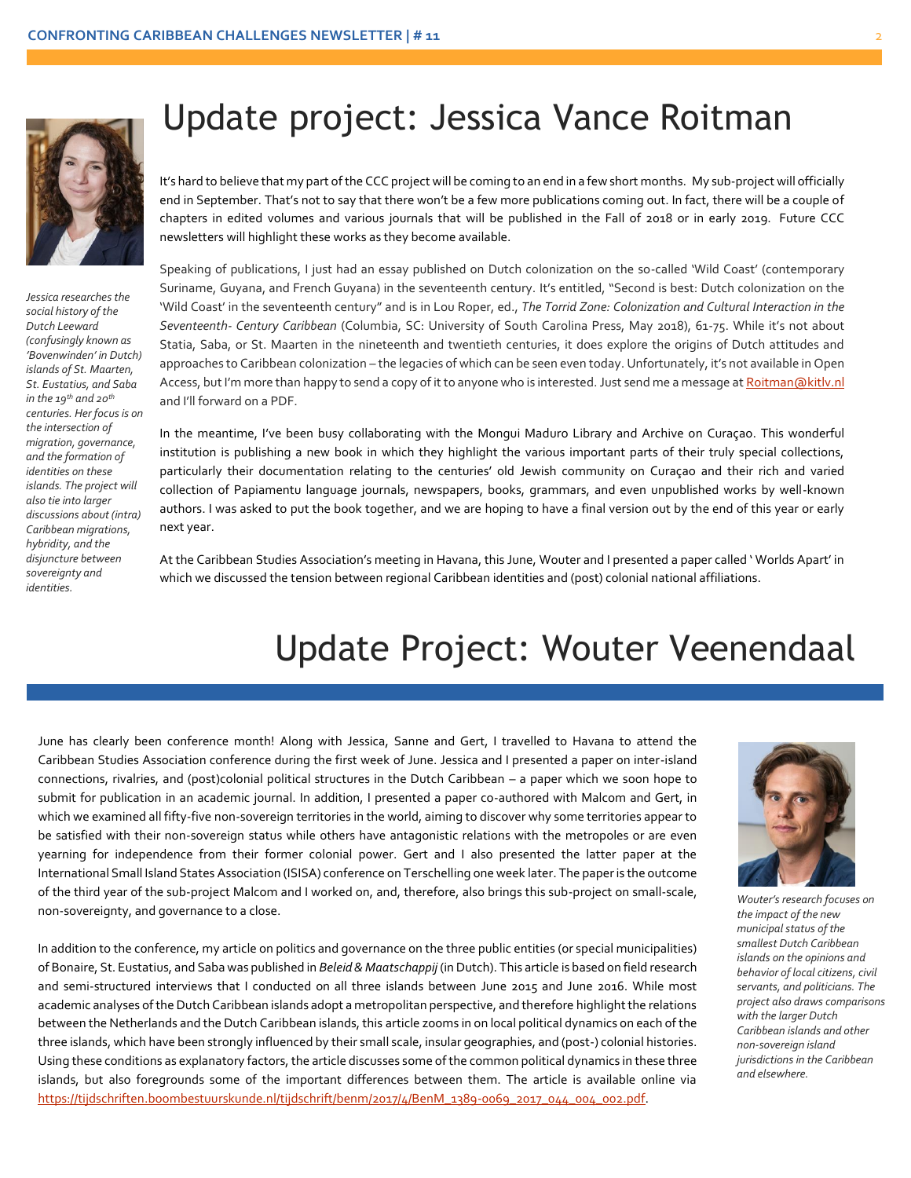

*Jessica researches the social history of the Dutch Leeward (confusingly known as 'Bovenwinden' in Dutch) islands of St. Maarten, St. Eustatius, and Saba in the 19th and 20th centuries. Her focus is on the intersection of migration, governance, and the formation of identities on these islands. The project will also tie into larger discussions about (intra) Caribbean migrations, hybridity, and the disjuncture between sovereignty and identities.*

## Update project: Jessica Vance Roitman

chapters in edited volumes and various journals that will be <sub>l</sub><br>newsletters will highlight these works as they become available. It's hard to believe that my part of the CCC project will be coming to an end in a few short months. My sub-project will officially end in September. That's not to say that there won't be a few more publications coming out. In fact, there will be a couple of chapters in edited volumes and various journals that will be published in the Fall of 2018 or in early 2019. Future CCC

Speaking of publications, I just had an essay published on Dutch colonization on the so-called 'Wild Coast' (contemporary Suriname, Guyana, and French Guyana) in the seventeenth century. It's entitled, "Second is best: Dutch colonization on the 'Wild Coast' in the seventeenth century" and is in Lou Roper, ed., *The Torrid Zone: Colonization and Cultural Interaction in the Seventeenth- Century Caribbean* (Columbia, SC: University of South Carolina Press, May 2018), 61-75. While it's not about Statia, Saba, or St. Maarten in the nineteenth and twentieth centuries, it does explore the origins of Dutch attitudes and approaches to Caribbean colonization – the legacies of which can be seen even today. Unfortunately, it's not available in Open Access, but I'm more than happy to send a copy of it to anyone who is interested. Just send me a message at [Roitman@kitlv.nl](mailto:Roitman@kitlv.nl) and I'll forward on a PDF.

In the meantime, I've been busy collaborating with the Mongui Maduro Library and Archive on Curaçao. This wonderful institution is publishing a new book in which they highlight the various important parts of their truly special collections, particularly their documentation relating to the centuries' old Jewish community on Curaçao and their rich and varied collection of Papiamentu language journals, newspapers, books, grammars, and even unpublished works by well-known authors. I was asked to put the book together, and we are hoping to have a final version out by the end of this year or early next year.

At the Caribbean Studies Association's meeting in Havana, this June, Wouter and I presented a paper called ' Worlds Apart' in which we discussed the tension between regional Caribbean identities and (post) colonial national affiliations.

## Update Project: Wouter Veenendaal

June has clearly been conference month! Along with Jessica, Sanne and Gert, I travelled to Havana to attend the Caribbean Studies Association conference during the first week of June. Jessica and I presented a paper on inter-island connections, rivalries, and (post)colonial political structures in the Dutch Caribbean – a paper which we soon hope to submit for publication in an academic journal. In addition, I presented a paper co-authored with Malcom and Gert, in which we examined all fifty-five non-sovereign territories in the world, aiming to discover why some territories appear to be satisfied with their non-sovereign status while others have antagonistic relations with the metropoles or are even yearning for independence from their former colonial power. Gert and I also presented the latter paper at the International Small Island States Association (ISISA) conference on Terschelling one week later. The paper is the outcome of the third year of the sub-project Malcom and I worked on, and, therefore, also brings this sub-project on small-scale, non-sovereignty, and governance to a close.

In addition to the conference, my article on politics and governance on the three public entities (or special municipalities) of Bonaire, St. Eustatius, and Saba was published in *Beleid & Maatschappij* (in Dutch). This article is based on field research and semi-structured interviews that I conducted on all three islands between June 2015 and June 2016. While most academic analyses of the Dutch Caribbean islands adopt a metropolitan perspective, and therefore highlight the relations between the Netherlands and the Dutch Caribbean islands, this article zooms in on local political dynamics on each of the three islands, which have been strongly influenced by their small scale, insular geographies, and (post-) colonial histories. Using these conditions as explanatory factors, the article discusses some of the common political dynamics in these three islands, but also foregrounds some of the important differences between them. The article is available online via [https://tijdschriften.boombestuurskunde.nl/tijdschrift/benm/2017/4/BenM\\_1389-0069\\_2017\\_044\\_004\\_002.pdf.](https://tijdschriften.boombestuurskunde.nl/tijdschrift/benm/2017/4/BenM_1389-0069_2017_044_004_002.pdf)



*Wouter's research focuses on the impact of the new municipal status of the smallest Dutch Caribbean islands on the opinions and behavior of local citizens, civil servants, and politicians. The project also draws comparisons with the larger Dutch Caribbean islands and other non-sovereign island jurisdictions in the Caribbean and elsewhere.*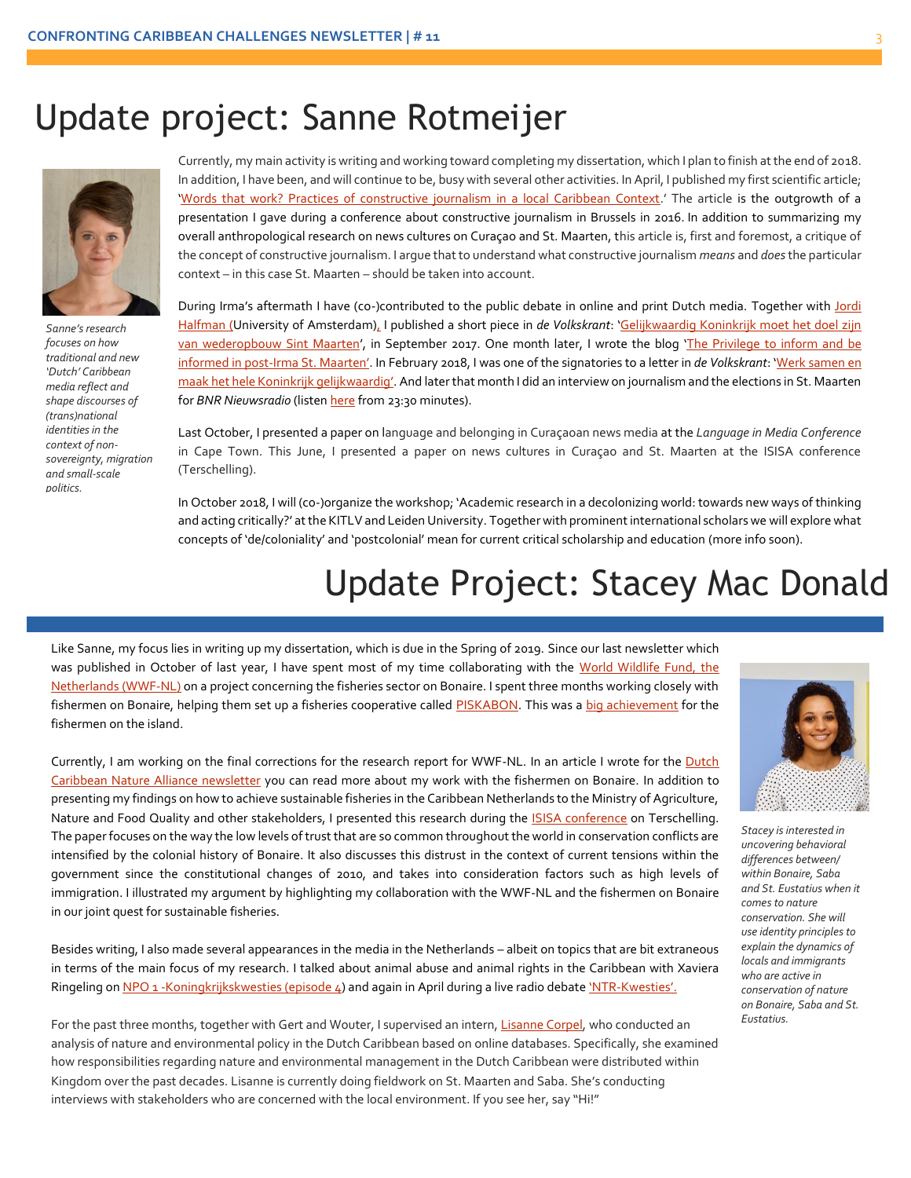#### Update project: Sanne Rotmeijer



*Sanne's research focuses on how traditional and new 'Dutch' Caribbean media reflect and shape discourses of (trans)national identities in the context of nonsovereignty, migration and small-scale politics.*

Currently, my main activity is writing and working toward completing my dissertation, which I plan to finish at the end of 2018. In addition, I have been, and will continue to be, busy with several other activities. In April, I published my first scientific article; '[Words that work? Practices of constructive journalism in a local Caribbean Context](http://journals.sagepub.com/doi/abs/10.1177/1464884918770555).' The article is the outgrowth of a presentation I gave during a conference about constructive journalism in Brussels in 2016. In addition to summarizing my overall anthropological research on news cultures on Curaçao and St. Maarten, this article is, first and foremost, a critique of the concept of constructive journalism. I argue that to understand what constructive journalism *means* and *does* the particular context – in this case St. Maarten – should be taken into account.

During Irma's aftermath I have (co-)contributed to the public debate in online and print Dutch media. Together with Jordi [Halfman](http://www.imaginingthenation.org/team.html) (University of Amsterdam), I published a short piece in *de Volkskrant*: '[Gelijkwaardig](https://www.volkskrant.nl/opinie/gelijkwaardig-koninkrijk-moet-het-doel-zijn-van-wederopbouw-sint-maarten~a4516481/) Koninkrijk moet het doel zijn van [wederopbouw](https://www.volkskrant.nl/opinie/gelijkwaardig-koninkrijk-moet-het-doel-zijn-van-wederopbouw-sint-maarten~a4516481/) Sint Maarten', in September 2017. One month later, I wrote the blog 'The [Privilege](http://www.kitlv.nl/blog-privilege-inform-informed-post-irma-st-maarten/) to inform and be informed in [post-Irma](http://www.kitlv.nl/blog-privilege-inform-informed-post-irma-st-maarten/) St. Maarten'. In February 2018, I was one of the signatories to a letter in *de Volkskrant*: 'Werk [samen](https://www.volkskrant.nl/opinie/werk-samen-en-maak-het-hele-koninkrijk-gelijkwaardig~a4567416/?utm_source=link&utm_medium=social&utm_campaign=shared%20content&utm_content=free) en maak het hele Koninkrijk [gelijkwaardig](https://www.volkskrant.nl/opinie/werk-samen-en-maak-het-hele-koninkrijk-gelijkwaardig~a4567416/?utm_source=link&utm_medium=social&utm_campaign=shared%20content&utm_content=free)'. And later that month I did an interview on journalism and the elections in St. Maarten for *BNR Nieuwsradio* (listen *here* from 23:30 minutes).

Last October, I presented a paper on language and belonging in Curaçaoan news media at the *Language in Media Conference* in Cape Town. This June, I presented a paper on news cultures in Curaçao and St. Maarten at the ISISA conference (Terschelling).

In October 2018, I will (co-)organize the workshop; 'Academic research in a decolonizing world: towards new ways of thinking and acting critically?' at the KITLV and Leiden University. Together with prominent international scholars we will explore what concepts of 'de/coloniality' and 'postcolonial' mean for current critical scholarship and education (more info soon).

# Update Project: Stacey Mac Donald

Like Sanne, my focus lies in writing up my dissertation, which is due in the Spring of 2019. Since our last newsletter which was published in October of last year, I have spent most of my time collaborating with the [World Wildlife Fund, the](https://www.wnf.nl/nieuws/bericht/vissers-bonaire-werken-samen-aan-verduurzaming.htm)  [Netherlands](https://www.wnf.nl/nieuws/bericht/vissers-bonaire-werken-samen-aan-verduurzaming.htm) (WWF-NL) on a project concerning the fisheries sector on Bonaire. I spent three months working closely with fishermen on Bonaire, helping them set up a fisheries cooperative calle[d PISKABON.](https://www.facebook.com/piskabon/?fref=mentions) This was a [big achievement](http://www.kitlv.nl/wp-content/uploads/2018/03/Piskado-na-Boneiru_Extra.jpg) for the fishermen on the island.

Currently, I am working on the final corrections for the research report for WWF-NL. In an article I wrote for the Dutch [Caribbean Nature Alliance newsletter](http://www.dcnanature.org/wp-content/uploads/2018/03/BioNews-2018-11-Mas_Piska_-Bonaire.pdf) you can read more about my work with the fishermen on Bonaire. In addition to presenting my findings on how to achieve sustainable fisheries in the Caribbean Netherlands to the Ministry of Agriculture, Nature and Food Quality and other stakeholders, I presented this research during the **ISISA** conference on Terschelling. The paper focuses on the way the low levels of trust that are so common throughout the world in conservation conflicts are intensified by the colonial history of Bonaire. It also discusses this distrust in the context of current tensions within the government since the constitutional changes of 2010, and takes into consideration factors such as high levels of immigration. I illustrated my argument by highlighting my collaboration with the WWF-NL and the fishermen on Bonaire in our joint quest for sustainable fisheries.

Besides writing, I also made several appearances in the media in the Netherlands – albeit on topics that are bit extraneous in terms of the main focus of my research. I talked about animal abuse and animal rights in the Caribbean with Xaviera Ringeling on NPO 1 - Koningkrijkskwesties (episode 4) and again in April during a live radio debate 'NTR-[Kwesties'.](https://www.facebook.com/kwesties/videos/1854079558218417/)

For the past three months, together with Gert and Wouter, I supervised an intern[, Lisanne Corpel,](http://www.kitlv.nl/interns/) who conducted an analysis of nature and environmental policy in the Dutch Caribbean based on online databases. Specifically, she examined how responsibilities regarding nature and environmental management in the Dutch Caribbean were distributed within Kingdom over the past decades. Lisanne is currently doing fieldwork on St. Maarten and Saba. She's conducting interviews with stakeholders who are concerned with the local environment. If you see her, say "Hi!"



*Stacey is interested in uncovering behavioral differences between/ within Bonaire, Saba and St. Eustatius when it comes to nature conservation. She will use identity principles to explain the dynamics of locals and immigrants who are active in conservation of nature on Bonaire, Saba and St. Eustatius.*